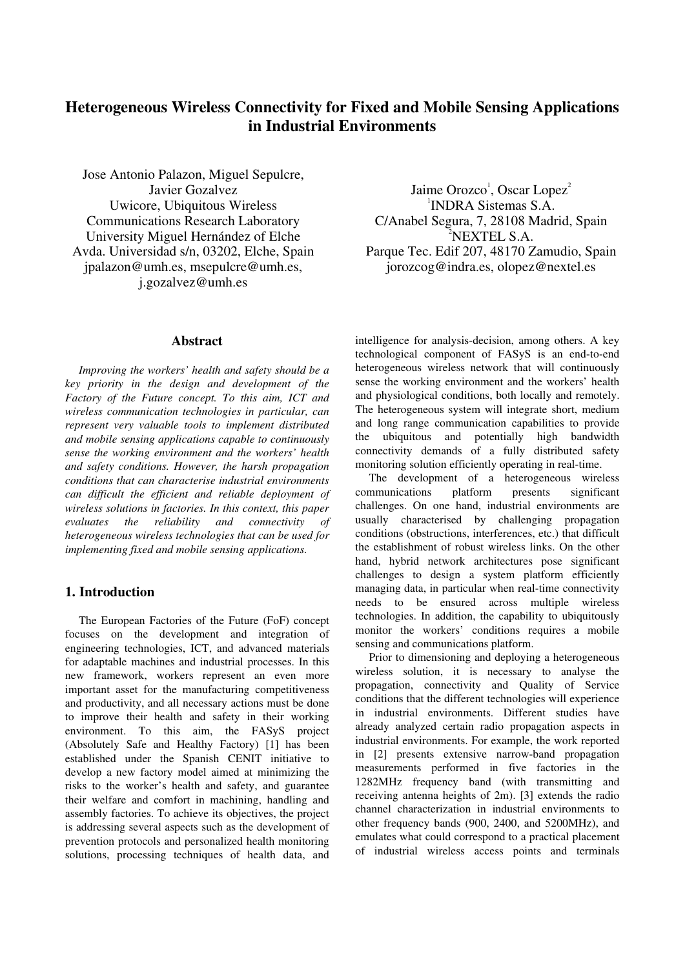# **Heterogeneous Wireless Connectivity for Fixed and Mobile Sensing Applications in Industrial Environments**

Jose Antonio Palazon, Miguel Sepulcre, Javier Gozalvez Uwicore, Ubiquitous Wireless Communications Research Laboratory University Miguel Hernández of Elche Avda. Universidad s/n, 03202, Elche, Spain jpalazon@umh.es, msepulcre@umh.es, j.gozalvez@umh.es

### **Abstract**

*Improving the workers' health and safety should be a key priority in the design and development of the Factory of the Future concept. To this aim, ICT and wireless communication technologies in particular, can represent very valuable tools to implement distributed and mobile sensing applications capable to continuously sense the working environment and the workers' health and safety conditions. However, the harsh propagation conditions that can characterise industrial environments can difficult the efficient and reliable deployment of wireless solutions in factories. In this context, this paper evaluates the reliability and connectivity of heterogeneous wireless technologies that can be used for implementing fixed and mobile sensing applications.* 

## **1. Introduction**

The European Factories of the Future (FoF) concept focuses on the development and integration of engineering technologies, ICT, and advanced materials for adaptable machines and industrial processes. In this new framework, workers represent an even more important asset for the manufacturing competitiveness and productivity, and all necessary actions must be done to improve their health and safety in their working environment. To this aim, the FASyS project (Absolutely Safe and Healthy Factory) [1] has been established under the Spanish CENIT initiative to develop a new factory model aimed at minimizing the risks to the worker's health and safety, and guarantee their welfare and comfort in machining, handling and assembly factories. To achieve its objectives, the project is addressing several aspects such as the development of prevention protocols and personalized health monitoring solutions, processing techniques of health data, and

Jaime Orozco<sup>1</sup>, Oscar Lopez<sup>2</sup> 1 INDRA Sistemas S.A. C/Anabel Segura, 7, 28108 Madrid, Spain 2 NEXTEL S.A. Parque Tec. Edif 207, 48170 Zamudio, Spain jorozcog@indra.es, olopez@nextel.es

intelligence for analysis-decision, among others. A key technological component of FASyS is an end-to-end heterogeneous wireless network that will continuously sense the working environment and the workers' health and physiological conditions, both locally and remotely. The heterogeneous system will integrate short, medium and long range communication capabilities to provide the ubiquitous and potentially high bandwidth connectivity demands of a fully distributed safety monitoring solution efficiently operating in real-time.

The development of a heterogeneous wireless<br>mmunications platform presents significant communications platform presents significant challenges. On one hand, industrial environments are usually characterised by challenging propagation conditions (obstructions, interferences, etc.) that difficult the establishment of robust wireless links. On the other hand, hybrid network architectures pose significant challenges to design a system platform efficiently managing data, in particular when real-time connectivity needs to be ensured across multiple wireless technologies. In addition, the capability to ubiquitously monitor the workers' conditions requires a mobile sensing and communications platform.

Prior to dimensioning and deploying a heterogeneous wireless solution, it is necessary to analyse the propagation, connectivity and Quality of Service conditions that the different technologies will experience in industrial environments. Different studies have already analyzed certain radio propagation aspects in industrial environments. For example, the work reported in [2] presents extensive narrow-band propagation measurements performed in five factories in the 1282MHz frequency band (with transmitting and receiving antenna heights of 2m). [3] extends the radio channel characterization in industrial environments to other frequency bands (900, 2400, and 5200MHz), and emulates what could correspond to a practical placement of industrial wireless access points and terminals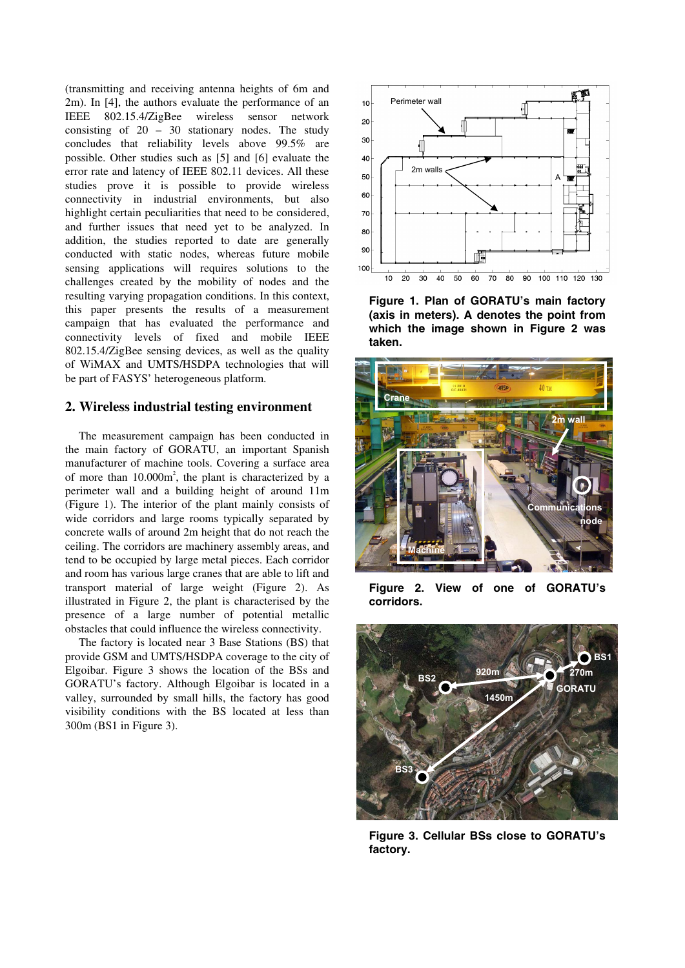(transmitting and receiving antenna heights of 6m and 2m). In [4], the authors evaluate the performance of an IEEE 802.15.4/ZigBee wireless sensor network consisting of 20 – 30 stationary nodes. The study concludes that reliability levels above 99.5% are possible. Other studies such as [5] and [6] evaluate the error rate and latency of IEEE 802.11 devices. All these studies prove it is possible to provide wireless connectivity in industrial environments, but also highlight certain peculiarities that need to be considered. and further issues that need yet to be analyzed. In addition, the studies reported to date are generally conducted with static nodes, whereas future mobile sensing applications will requires solutions to the challenges created by the mobility of nodes and the resulting varying propagation conditions. In this context, this paper presents the results of a measurement campaign that has evaluated the performance and connectivity levels of fixed and mobile IEEE 802.15.4/ZigBee sensing devices, as well as the quality of WiMAX and UMTS/HSDPA technologies that will be part of FASYS' heterogeneous platform.

## **2. Wireless industrial testing environment**

The measurement campaign has been conducted in the main factory of GORATU, an important Spanish manufacturer of machine tools. Covering a surface area of more than  $10.000m^2$ , the plant is characterized by a perimeter wall and a building height of around 11m (Figure 1). The interior of the plant mainly consists of wide corridors and large rooms typically separated by concrete walls of around 2m height that do not reach the ceiling. The corridors are machinery assembly areas, and tend to be occupied by large metal pieces. Each corridor and room has various large cranes that are able to lift and transport material of large weight (Figure 2). As illustrated in Figure 2, the plant is characterised by the presence of a large number of potential metallic obstacles that could influence the wireless connectivity.

The factory is located near 3 Base Stations (BS) that provide GSM and UMTS/HSDPA coverage to the city of Elgoibar. Figure 3 shows the location of the BSs and GORATU's factory. Although Elgoibar is located in a valley, surrounded by small hills, the factory has good visibility conditions with the BS located at less than 300m (BS1 in Figure 3).



**Figure 1. Plan of GORATU's main factory (axis in meters). A denotes the point from which the image shown in Figure 2 was taken.** 



**Figure 2. View of one of GORATU's corridors.** 



**Figure 3. Cellular BSs close to GORATU's factory.**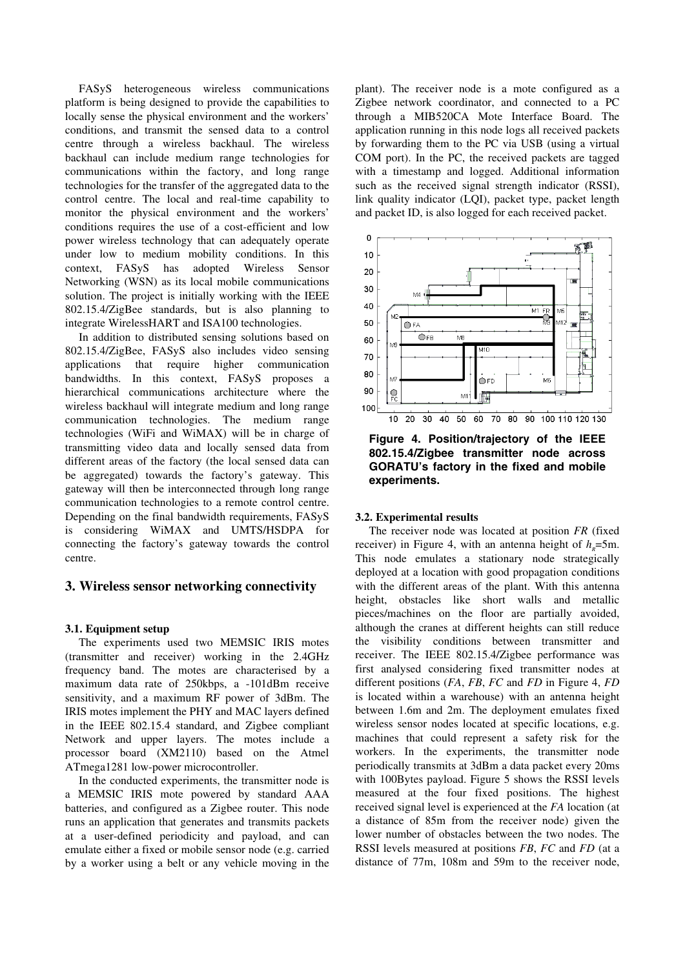FASyS heterogeneous wireless communications platform is being designed to provide the capabilities to locally sense the physical environment and the workers' conditions, and transmit the sensed data to a control centre through a wireless backhaul. The wireless backhaul can include medium range technologies for communications within the factory, and long range technologies for the transfer of the aggregated data to the control centre. The local and real-time capability to monitor the physical environment and the workers' conditions requires the use of a cost-efficient and low power wireless technology that can adequately operate under low to medium mobility conditions. In this context, FASyS has adopted Wireless Sensor Networking (WSN) as its local mobile communications solution. The project is initially working with the IEEE 802.15.4/ZigBee standards, but is also planning to integrate WirelessHART and ISA100 technologies.

In addition to distributed sensing solutions based on 802.15.4/ZigBee, FASyS also includes video sensing applications that require higher communication bandwidths. In this context, FASyS proposes a hierarchical communications architecture where the wireless backhaul will integrate medium and long range communication technologies. The medium range technologies (WiFi and WiMAX) will be in charge of transmitting video data and locally sensed data from different areas of the factory (the local sensed data can be aggregated) towards the factory's gateway. This gateway will then be interconnected through long range communication technologies to a remote control centre. Depending on the final bandwidth requirements, FASyS is considering WiMAX and UMTS/HSDPA for connecting the factory's gateway towards the control centre.

## **3. Wireless sensor networking connectivity**

#### **3.1. Equipment setup**

The experiments used two MEMSIC IRIS motes (transmitter and receiver) working in the 2.4GHz frequency band. The motes are characterised by a maximum data rate of 250kbps, a -101dBm receive sensitivity, and a maximum RF power of 3dBm. The IRIS motes implement the PHY and MAC layers defined in the IEEE 802.15.4 standard, and Zigbee compliant Network and upper layers. The motes include a processor board (XM2110) based on the Atmel ATmega1281 low-power microcontroller.

In the conducted experiments, the transmitter node is a MEMSIC IRIS mote powered by standard AAA batteries, and configured as a Zigbee router. This node runs an application that generates and transmits packets at a user-defined periodicity and payload, and can emulate either a fixed or mobile sensor node (e.g. carried by a worker using a belt or any vehicle moving in the

plant). The receiver node is a mote configured as a Zigbee network coordinator, and connected to a PC through a MIB520CA Mote Interface Board. The application running in this node logs all received packets by forwarding them to the PC via USB (using a virtual COM port). In the PC, the received packets are tagged with a timestamp and logged. Additional information such as the received signal strength indicator (RSSI), link quality indicator (LQI), packet type, packet length and packet ID, is also logged for each received packet.



**Figure 4. Position/trajectory of the IEEE 802.15.4/Zigbee transmitter node across GORATU's factory in the fixed and mobile experiments.** 

#### **3.2. Experimental results**

The receiver node was located at position *FR* (fixed receiver) in Figure 4, with an antenna height of  $h<sub>p</sub>=5m$ . This node emulates a stationary node strategically deployed at a location with good propagation conditions with the different areas of the plant. With this antenna height, obstacles like short walls and metallic pieces/machines on the floor are partially avoided, although the cranes at different heights can still reduce the visibility conditions between transmitter and receiver. The IEEE 802.15.4/Zigbee performance was first analysed considering fixed transmitter nodes at different positions (*FA*, *FB*, *FC* and *FD* in Figure 4, *FD* is located within a warehouse) with an antenna height between 1.6m and 2m. The deployment emulates fixed wireless sensor nodes located at specific locations, e.g. machines that could represent a safety risk for the workers. In the experiments, the transmitter node periodically transmits at 3dBm a data packet every 20ms with 100Bytes payload. Figure 5 shows the RSSI levels measured at the four fixed positions. The highest received signal level is experienced at the *FA* location (at a distance of 85m from the receiver node) given the lower number of obstacles between the two nodes. The RSSI levels measured at positions *FB*, *FC* and *FD* (at a distance of 77m, 108m and 59m to the receiver node,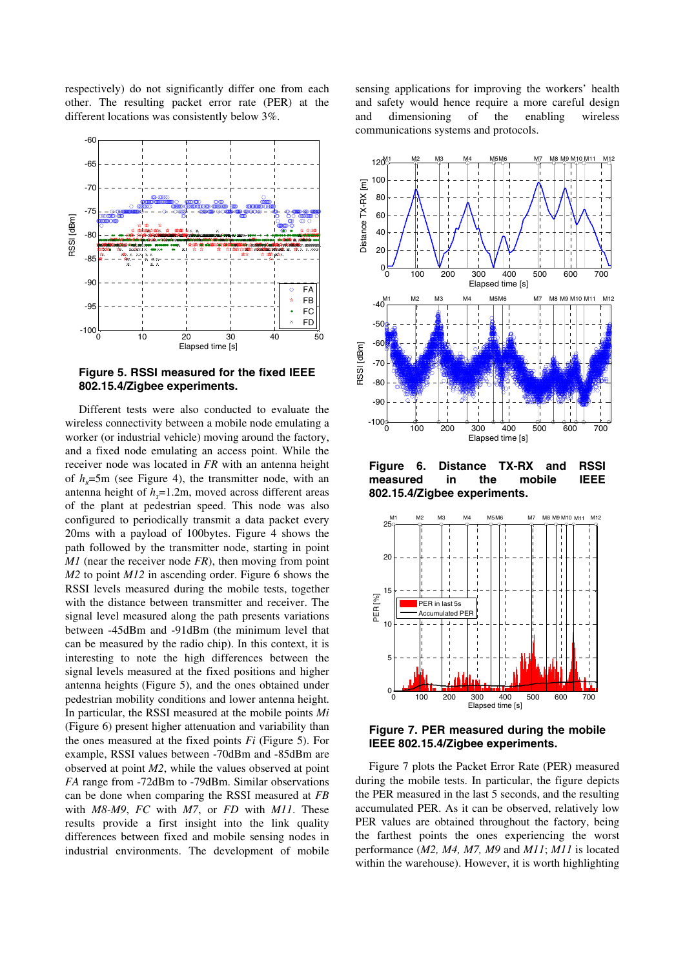respectively) do not significantly differ one from each other. The resulting packet error rate (PER) at the different locations was consistently below 3%.



**Figure 5. RSSI measured for the fixed IEEE 802.15.4/Zigbee experiments.** 

Different tests were also conducted to evaluate the wireless connectivity between a mobile node emulating a worker (or industrial vehicle) moving around the factory, and a fixed node emulating an access point. While the receiver node was located in *FR* with an antenna height of  $h<sub>n</sub>=5m$  (see Figure 4), the transmitter node, with an antenna height of  $h_7$ =1.2m, moved across different areas of the plant at pedestrian speed. This node was also configured to periodically transmit a data packet every 20ms with a payload of 100bytes. Figure 4 shows the path followed by the transmitter node, starting in point *M1* (near the receiver node *FR*), then moving from point *M2* to point *M12* in ascending order. Figure 6 shows the RSSI levels measured during the mobile tests, together with the distance between transmitter and receiver. The signal level measured along the path presents variations between -45dBm and -91dBm (the minimum level that can be measured by the radio chip). In this context, it is interesting to note the high differences between the signal levels measured at the fixed positions and higher antenna heights (Figure 5), and the ones obtained under pedestrian mobility conditions and lower antenna height. In particular, the RSSI measured at the mobile points *Mi* (Figure 6) present higher attenuation and variability than the ones measured at the fixed points *Fi* (Figure 5). For example, RSSI values between -70dBm and -85dBm are observed at point *M2*, while the values observed at point *FA* range from -72dBm to -79dBm. Similar observations can be done when comparing the RSSI measured at *FB* with *M8-M9*, *FC* with *M7*, or *FD* with *M11*. These results provide a first insight into the link quality differences between fixed and mobile sensing nodes in industrial environments. The development of mobile

sensing applications for improving the workers' health and safety would hence require a more careful design and dimensioning of the enabling wireless communications systems and protocols.



**Figure 6. Distance TX-RX and RSSI measured in the mobile IEEE 802.15.4/Zigbee experiments.** 





Figure 7 plots the Packet Error Rate (PER) measured during the mobile tests. In particular, the figure depicts the PER measured in the last 5 seconds, and the resulting accumulated PER. As it can be observed, relatively low PER values are obtained throughout the factory, being the farthest points the ones experiencing the worst performance (*M2, M4, M7, M9* and *M11*; *M11* is located within the warehouse). However, it is worth highlighting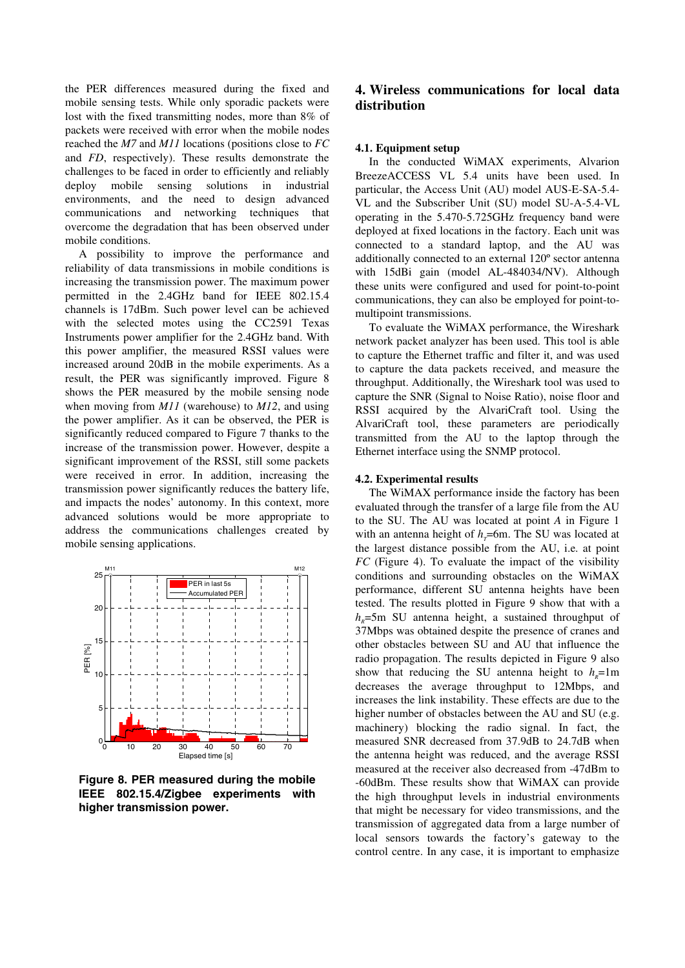the PER differences measured during the fixed and mobile sensing tests. While only sporadic packets were lost with the fixed transmitting nodes, more than 8% of packets were received with error when the mobile nodes reached the *M7* and *M11* locations (positions close to *FC* and *FD*, respectively). These results demonstrate the challenges to be faced in order to efficiently and reliably deploy mobile sensing solutions in industrial environments, and the need to design advanced communications and networking techniques that overcome the degradation that has been observed under mobile conditions.

A possibility to improve the performance and reliability of data transmissions in mobile conditions is increasing the transmission power. The maximum power permitted in the 2.4GHz band for IEEE 802.15.4 channels is 17dBm. Such power level can be achieved with the selected motes using the CC2591 Texas Instruments power amplifier for the 2.4GHz band. With this power amplifier, the measured RSSI values were increased around 20dB in the mobile experiments. As a result, the PER was significantly improved. Figure 8 shows the PER measured by the mobile sensing node when moving from *M11* (warehouse) to *M12*, and using the power amplifier. As it can be observed, the PER is significantly reduced compared to Figure 7 thanks to the increase of the transmission power. However, despite a significant improvement of the RSSI, still some packets were received in error. In addition, increasing the transmission power significantly reduces the battery life, and impacts the nodes' autonomy. In this context, more advanced solutions would be more appropriate to address the communications challenges created by mobile sensing applications.



**Figure 8. PER measured during the mobile IEEE 802.15.4/Zigbee experiments with higher transmission power.** 

## **4. Wireless communications for local data distribution**

### **4.1. Equipment setup**

In the conducted WiMAX experiments, Alvarion BreezeACCESS VL 5.4 units have been used. In particular, the Access Unit (AU) model AUS-E-SA-5.4- VL and the Subscriber Unit (SU) model SU-A-5.4-VL operating in the 5.470-5.725GHz frequency band were deployed at fixed locations in the factory. Each unit was connected to a standard laptop, and the AU was additionally connected to an external 120º sector antenna with 15dBi gain (model AL-484034/NV). Although these units were configured and used for point-to-point communications, they can also be employed for point-tomultipoint transmissions.

To evaluate the WiMAX performance, the Wireshark network packet analyzer has been used. This tool is able to capture the Ethernet traffic and filter it, and was used to capture the data packets received, and measure the throughput. Additionally, the Wireshark tool was used to capture the SNR (Signal to Noise Ratio), noise floor and RSSI acquired by the AlvariCraft tool. Using the AlvariCraft tool, these parameters are periodically transmitted from the AU to the laptop through the Ethernet interface using the SNMP protocol.

#### **4.2. Experimental results**

The WiMAX performance inside the factory has been evaluated through the transfer of a large file from the AU to the SU. The AU was located at point *A* in Figure 1 with an antenna height of  $h_7$ =6m. The SU was located at the largest distance possible from the AU, i.e. at point *FC* (Figure 4). To evaluate the impact of the visibility conditions and surrounding obstacles on the WiMAX performance, different SU antenna heights have been tested. The results plotted in Figure 9 show that with a  $h<sub>p</sub>=5m$  SU antenna height, a sustained throughput of 37Mbps was obtained despite the presence of cranes and other obstacles between SU and AU that influence the radio propagation. The results depicted in Figure 9 also show that reducing the SU antenna height to  $h<sub>n</sub>=1m$ decreases the average throughput to 12Mbps, and increases the link instability. These effects are due to the higher number of obstacles between the AU and SU (e.g. machinery) blocking the radio signal. In fact, the measured SNR decreased from 37.9dB to 24.7dB when the antenna height was reduced, and the average RSSI measured at the receiver also decreased from -47dBm to -60dBm. These results show that WiMAX can provide the high throughput levels in industrial environments that might be necessary for video transmissions, and the transmission of aggregated data from a large number of local sensors towards the factory's gateway to the control centre. In any case, it is important to emphasize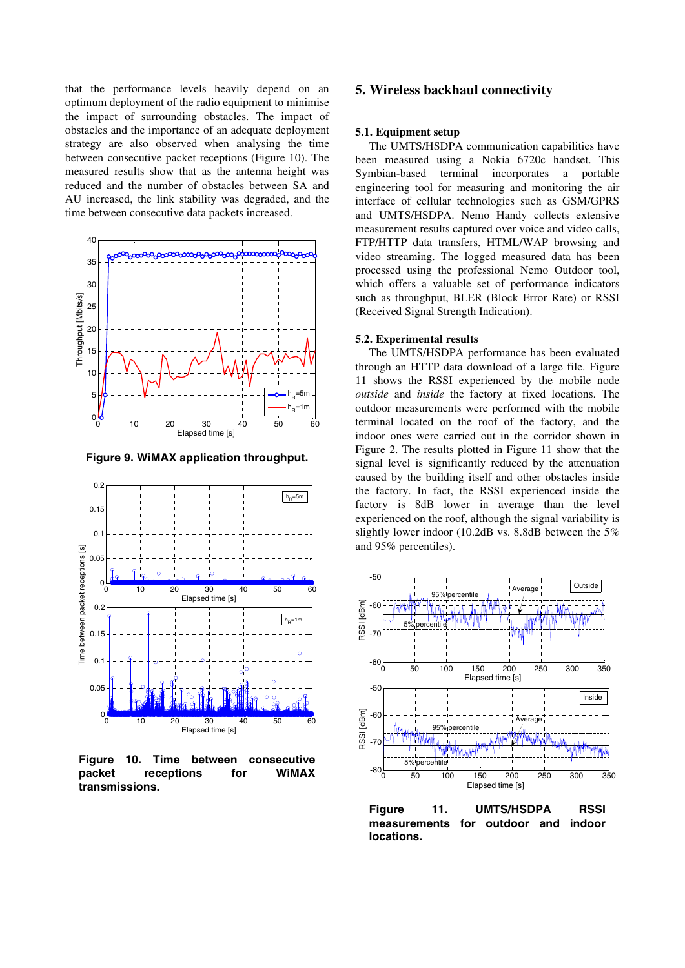that the performance levels heavily depend on an optimum deployment of the radio equipment to minimise the impact of surrounding obstacles. The impact of obstacles and the importance of an adequate deployment strategy are also observed when analysing the time between consecutive packet receptions (Figure 10). The measured results show that as the antenna height was reduced and the number of obstacles between SA and AU increased, the link stability was degraded, and the time between consecutive data packets increased.



**Figure 9. WiMAX application throughput.** 



**Figure 10. Time between consecutive packet receptions for WiMAX transmissions.** 

## **5. Wireless backhaul connectivity**

### **5.1. Equipment setup**

The UMTS/HSDPA communication capabilities have been measured using a Nokia 6720c handset. This Symbian-based terminal incorporates a portable engineering tool for measuring and monitoring the air interface of cellular technologies such as GSM/GPRS and UMTS/HSDPA. Nemo Handy collects extensive measurement results captured over voice and video calls, FTP/HTTP data transfers, HTML/WAP browsing and video streaming. The logged measured data has been processed using the professional Nemo Outdoor tool, which offers a valuable set of performance indicators such as throughput, BLER (Block Error Rate) or RSSI (Received Signal Strength Indication).

#### **5.2. Experimental results**

The UMTS/HSDPA performance has been evaluated through an HTTP data download of a large file. Figure 11 shows the RSSI experienced by the mobile node *outside* and *inside* the factory at fixed locations. The outdoor measurements were performed with the mobile terminal located on the roof of the factory, and the indoor ones were carried out in the corridor shown in Figure 2. The results plotted in Figure 11 show that the signal level is significantly reduced by the attenuation caused by the building itself and other obstacles inside the factory. In fact, the RSSI experienced inside the factory is 8dB lower in average than the level experienced on the roof, although the signal variability is slightly lower indoor (10.2dB vs. 8.8dB between the 5% and 95% percentiles).



**Figure 11. UMTS/HSDPA RSSI measurements for outdoor and indoor locations.**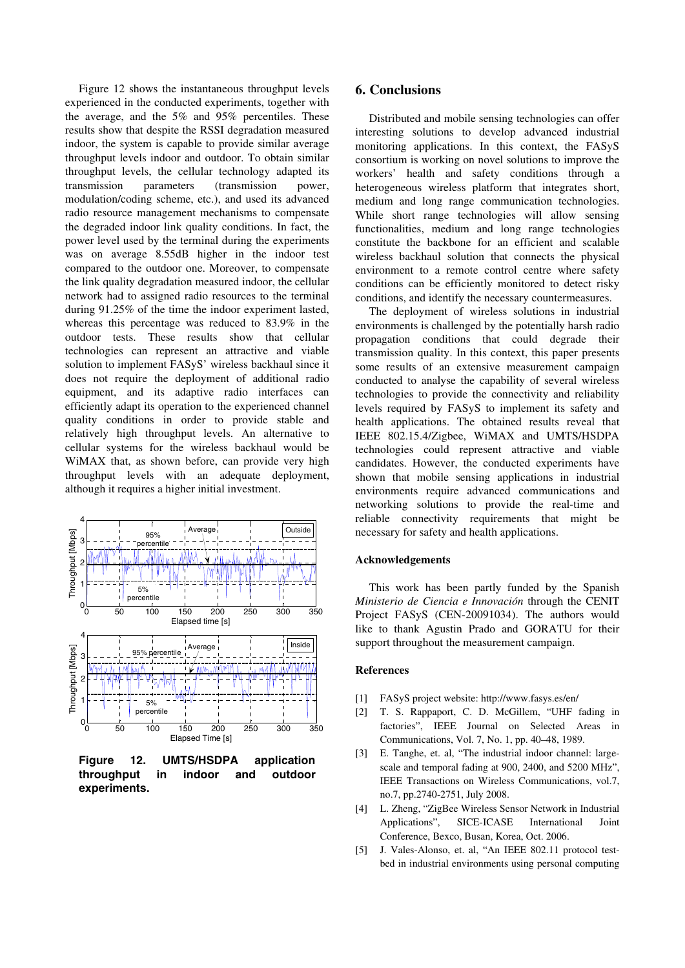Figure 12 shows the instantaneous throughput levels experienced in the conducted experiments, together with the average, and the 5% and 95% percentiles. These results show that despite the RSSI degradation measured indoor, the system is capable to provide similar average throughput levels indoor and outdoor. To obtain similar throughput levels, the cellular technology adapted its transmission parameters (transmission power, modulation/coding scheme, etc.), and used its advanced radio resource management mechanisms to compensate the degraded indoor link quality conditions. In fact, the power level used by the terminal during the experiments was on average 8.55dB higher in the indoor test compared to the outdoor one. Moreover, to compensate the link quality degradation measured indoor, the cellular network had to assigned radio resources to the terminal during 91.25% of the time the indoor experiment lasted, whereas this percentage was reduced to 83.9% in the outdoor tests. These results show that cellular technologies can represent an attractive and viable solution to implement FASyS' wireless backhaul since it does not require the deployment of additional radio equipment, and its adaptive radio interfaces can efficiently adapt its operation to the experienced channel quality conditions in order to provide stable and relatively high throughput levels. An alternative to cellular systems for the wireless backhaul would be WiMAX that, as shown before, can provide very high throughput levels with an adequate deployment, although it requires a higher initial investment.



**Figure 12. UMTS/HSDPA application throughput in indoor and outdoor experiments.** 

## **6. Conclusions**

Distributed and mobile sensing technologies can offer interesting solutions to develop advanced industrial monitoring applications. In this context, the FASyS consortium is working on novel solutions to improve the workers' health and safety conditions through a heterogeneous wireless platform that integrates short, medium and long range communication technologies. While short range technologies will allow sensing functionalities, medium and long range technologies constitute the backbone for an efficient and scalable wireless backhaul solution that connects the physical environment to a remote control centre where safety conditions can be efficiently monitored to detect risky conditions, and identify the necessary countermeasures.

The deployment of wireless solutions in industrial environments is challenged by the potentially harsh radio propagation conditions that could degrade their transmission quality. In this context, this paper presents some results of an extensive measurement campaign conducted to analyse the capability of several wireless technologies to provide the connectivity and reliability levels required by FASyS to implement its safety and health applications. The obtained results reveal that IEEE 802.15.4/Zigbee, WiMAX and UMTS/HSDPA technologies could represent attractive and viable candidates. However, the conducted experiments have shown that mobile sensing applications in industrial environments require advanced communications and networking solutions to provide the real-time and reliable connectivity requirements that might be necessary for safety and health applications.

#### **Acknowledgements**

This work has been partly funded by the Spanish *Ministerio de Ciencia e Innovación* through the CENIT Project FASyS (CEN-20091034). The authors would like to thank Agustin Prado and GORATU for their support throughout the measurement campaign.

#### **References**

- [1] FASyS project website: http://www.fasys.es/en/
- [2] T. S. Rappaport, C. D. McGillem, "UHF fading in factories", IEEE Journal on Selected Areas in Communications, Vol. 7, No. 1, pp. 40–48, 1989.
- [3] E. Tanghe, et. al, "The industrial indoor channel: largescale and temporal fading at 900, 2400, and 5200 MHz", IEEE Transactions on Wireless Communications, vol.7, no.7, pp.2740-2751, July 2008.
- [4] L. Zheng, "ZigBee Wireless Sensor Network in Industrial Applications", SICE-ICASE International Joint Conference, Bexco, Busan, Korea, Oct. 2006.
- [5] J. Vales-Alonso, et. al, "An IEEE 802.11 protocol testbed in industrial environments using personal computing